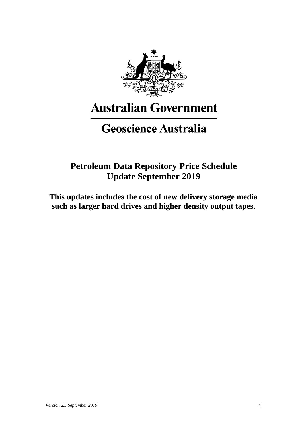

# **Australian Government**

## **Geoscience Australia**

### **Petroleum Data Repository Price Schedule Update September 2019**

**This updates includes the cost of new delivery storage media such as larger hard drives and higher density output tapes.**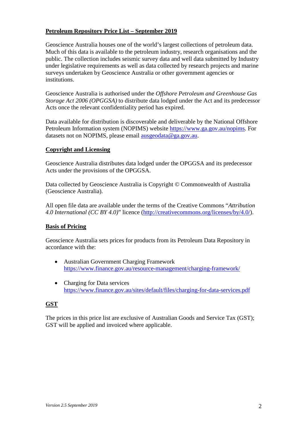#### **Petroleum Repository Price List – September 2019**

Geoscience Australia houses one of the world's largest collections of petroleum data. Much of this data is available to the petroleum industry, research organisations and the public. The collection includes seismic survey data and well data submitted by Industry under legislative requirements as well as data collected by research projects and marine surveys undertaken by Geoscience Australia or other government agencies or institutions.

Geoscience Australia is authorised under the *Offshore Petroleum and Greenhouse Gas Storage Act 2006 (OPGGSA)* to distribute data lodged under the Act and its predecessor Acts once the relevant confidentiality period has expired.

Data available for distribution is discoverable and deliverable by the National Offshore Petroleum Information system (NOPIMS) website [https://www.ga.gov.au/nopims.](https://www.ga.gov.au/nopims) For datasets not on NOPIMS, please email **ausgeodata@ga**.gov.au.

#### **Copyright and Licensing**

Geoscience Australia distributes data lodged under the OPGGSA and its predecessor Acts under the provisions of the OPGGSA.

Data collected by Geoscience Australia is Copyright © Commonwealth of Australia (Geoscience Australia).

All open file data are available under the terms of the Creative Commons "*Attribution 4.0 International (CC BY 4.0)*" licence [\(http://creativecommons.org/licenses/by/4.0/\)](http://creativecommons.org/licenses/by/4.0/).

#### **Basis of Pricing**

Geoscience Australia sets prices for products from its Petroleum Data Repository in accordance with the:

- Australian Government Charging Framework <https://www.finance.gov.au/resource-management/charging-framework/>
- Charging for Data services <https://www.finance.gov.au/sites/default/files/charging-for-data-services.pdf>

#### **GST**

The prices in this price list are exclusive of Australian Goods and Service Tax (GST); GST will be applied and invoiced where applicable.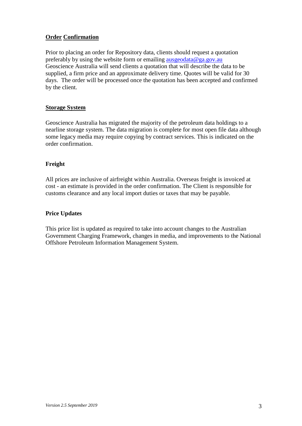#### **Order Confirmation**

Prior to placing an order for Repository data, clients should request a quotation preferably by using the website form or emailing [ausgeodata@ga.gov.au](mailto:ausgeodata@ga.gov.au) Geoscience Australia will send clients a quotation that will describe the data to be supplied, a firm price and an approximate delivery time. Quotes will be valid for 30 days. The order will be processed once the quotation has been accepted and confirmed by the client.

#### **Storage System**

Geoscience Australia has migrated the majority of the petroleum data holdings to a nearline storage system. The data migration is complete for most open file data although some legacy media may require copying by contract services. This is indicated on the order confirmation.

#### **Freight**

All prices are inclusive of airfreight within Australia. Overseas freight is invoiced at cost - an estimate is provided in the order confirmation. The Client is responsible for customs clearance and any local import duties or taxes that may be payable.

#### **Price Updates**

This price list is updated as required to take into account changes to the Australian Government Charging Framework, changes in media, and improvements to the National Offshore Petroleum Information Management System.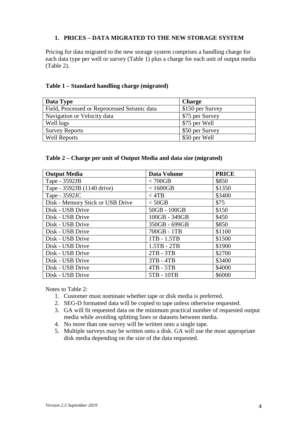#### **1. PRICES – DATA MIGRATED TO THE NEW STORAGE SYSTEM**

Pricing for data migrated to the new storage system comprises a handling charge for each data type per well or survey (Table 1) plus a charge for each unit of output media (Table 2).

#### **Table 1 – Standard handling charge (migrated)**

| Data Type                                    | <b>Charge</b>    |
|----------------------------------------------|------------------|
| Field, Processed or Reprocessed Seismic data | \$150 per Survey |
| Navigation or Velocity data                  | \$75 per Survey  |
| Well logs                                    | \$75 per Well    |
| <b>Survey Reports</b>                        | \$50 per Survey  |
| <b>Well Reports</b>                          | \$50 per Well    |

#### **Table 2 – Charge per unit of Output Media and data size (migrated)**

| <b>Output Media</b>              | <b>Data Volume</b> | <b>PRICE</b> |
|----------------------------------|--------------------|--------------|
| Tape - 3592JB                    | $< 700$ GB         | \$850        |
| Tape - 3592JB (1140 drive)       | $< 1600$ GB        | \$1350       |
| Tape - 3592JC                    | $<$ 4TB            | \$3400       |
| Disk - Memory Stick or USB Drive | $<$ 50GB           | \$75         |
| Disk - USB Drive                 | 50GB - 100GB       | \$150        |
| Disk - USB Drive                 | 100GB - 349GB      | \$450        |
| Disk - USB Drive                 | 350GB - 699GB      | \$850        |
| Disk - USB Drive                 | 700GB - 1TB        | \$1100       |
| Disk - USB Drive                 | 1TB - 1.5TB        | \$1500       |
| Disk - USB Drive                 | 1.5TB - 2TB        | \$1900       |
| Disk - USB Drive                 | $2TB - 3TB$        | \$2700       |
| Disk - USB Drive                 | $3TB - 4TB$        | \$3400       |
| Disk - USB Drive                 | $4TB - 5TB$        | \$4000       |
| Disk - USB Drive                 | 5TB - 10TB         | \$6000       |

Notes to Table 2:

- 1. Customer must nominate whether tape or disk media is preferred.
- 2. SEG-D formatted data will be copied to tape unless otherwise requested.
- 3. GA will fit requested data on the minimum practical number of requested output media while avoiding splitting lines or datasets between media.
- 4. No more than one survey will be written onto a single tape.
- 5. Multiple surveys may be written onto a disk. GA will use the most appropriate disk media depending on the size of the data requested.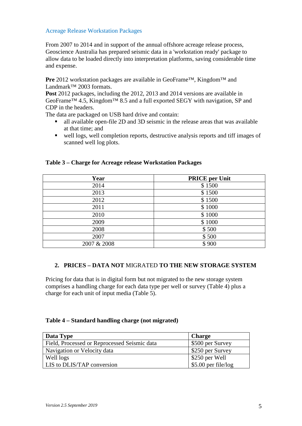#### Acreage Release Workstation Packages

From 2007 to 2014 and in support of the annual offshore acreage release process, Geoscience Australia has prepared seismic data in a 'workstation ready' package to allow data to be loaded directly into interpretation platforms, saving considerable time and expense.

**Pre** 2012 workstation packages are available in GeoFrame™, Kingdom™ and Landmark™ 2003 formats.

**Post** 2012 packages, including the 2012, 2013 and 2014 versions are available in GeoFrame™ 4.5, Kingdom™ 8.5 and a full exported SEGY with navigation, SP and CDP in the headers.

The data are packaged on USB hard drive and contain:

- all available open-file 2D and 3D seismic in the release areas that was available at that time; and
- well logs, well completion reports, destructive analysis reports and tiff images of scanned well log plots.

| Year        | <b>PRICE</b> per Unit |
|-------------|-----------------------|
| 2014        | \$1500                |
| 2013        | \$1500                |
| 2012        | \$1500                |
| 2011        | \$1000                |
| 2010        | \$1000                |
| 2009        | \$1000                |
| 2008        | \$500                 |
| 2007        | \$500                 |
| 2007 & 2008 | \$900                 |

#### **Table 3 – Charge for Acreage release Workstation Packages**

#### **2. PRICES – DATA NOT** MIGRATED **TO THE NEW STORAGE SYSTEM**

Pricing for data that is in digital form but not migrated to the new storage system comprises a handling charge for each data type per well or survey (Table 4) plus a charge for each unit of input media (Table 5).

#### **Table 4 – Standard handling charge (not migrated)**

| Data Type                                    | <b>Charge</b>       |
|----------------------------------------------|---------------------|
| Field, Processed or Reprocessed Seismic data | \$500 per Survey    |
| Navigation or Velocity data                  | \$250 per Survey    |
| Well logs                                    | \$250 per Well      |
| <b>LIS to DLIS/TAP conversion</b>            | \$5.00 per file/log |